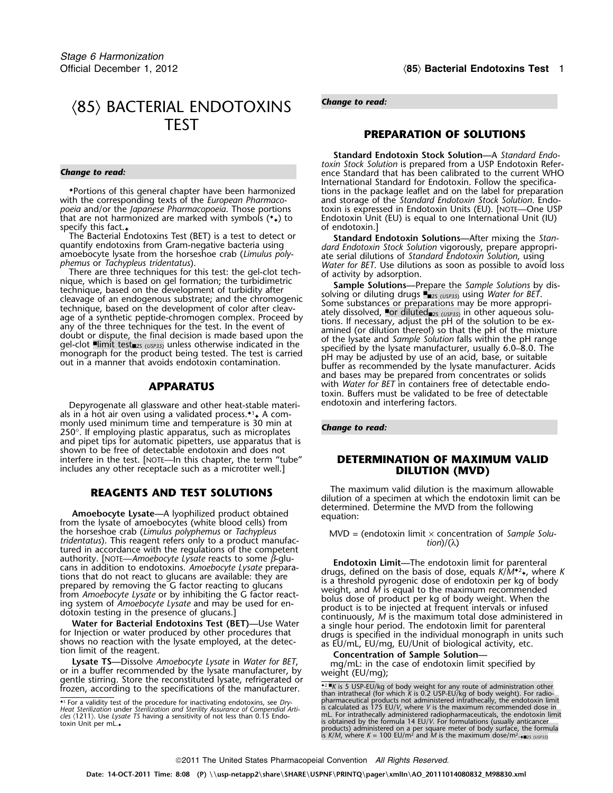# *Change to read:* 〈85〉 BACTERIAL ENDOTOXINS TEST

specify this fact. $\bullet$  of endotoxin.]

The Bacterial Endotoxins Test (BET) is a test to detect or **Standard Endotoxin Solutions—**After mixing the *Stan*-<br> *dard Endotoxin Stock Solution vigorously* prepare appropri-

phemus or *Tachypleus tridentatus*).<br>
There are three techniques for this test: the gel-clot tech-<br>
inque, which is based on gel formation; the turbidimetric<br>
technique, based on the development of turbidity after<br>
techniq

Depyrogenate all glassware and other heat-stable materi- endotoxin and interfering factors. als in a hot air oven using a validated process. $*1$  A commonly used minimum time and temperature is 30 min at *Change to read:* <sup>250</sup>°. If employing plastic apparatus, such as microplates and pipet tips for automatic pipetters, use apparatus that is shown to be free of detectable endotoxin and does not interfere in the test. [NOTE—In this chapter, the term "tube" **DETERMINATION OF MAXIMUM VALID** includes any other receptacle such as a microtiter well.] **DILUTION (MVD)** 

**determine Amoebocyte Lysate—A** lyophilized product obtained<br>from the lysate of amoebocytes (white blood cells) from the horseshoe crab (*Limulus polyphemus* or *Tachypleus* MVD = the horseshoe crab (*Limulus polyphemus* or *Tachypleus* MVD = (endotoxin limit x concentration of *Sample Solu-*<br>tridentatus). This reagent refers only to a product manufac-<br>tured in accordance with the regulations of th

Water for Bacterial Endotoxins Test (BET)—Use Water a single hour period. The endotoxin limit for parenteral<br>for Injection or water produced by other procedures that<br>shows no reaction with the lysate employed, at the detec

## **PREPARATION OF SOLUTIONS**

**Standard Endotoxin Stock Solution—**A *Standard Endotoxin Stock Solution* is prepared from a USP Endotoxin Refer- *Change to read:* ence Standard that has been calibrated to the current WHO International Standard for Endotoxin. Follow the specifica- **•**Portions of this general chapter have been harmonized tions in the package leaflet and on the label for preparation with the corresponding texts of the *European Pharmaco*- and storage of the *Standard Endotoxin Stock S* with the corresponding texts of the *European Pharmaco-* and storage of the *Standard Endotoxin Stock Solution*. Endo*poeia* and/or the *Japanese Pharmacopoeia*. Those portions toxin is expressed in Endotoxin Units (EU). [NOTE—One USP that are not harmonized are marked with symbols ( $\star$ ) to Endotoxin Unit (EU) is equal to one Internatio Endotoxin Unit (EU) is equal to one International Unit (IU)

quantify endotoxins from Gram-negative bacteria using dard Endotoxin Stock Solution vigorously, prepare appropri-<br>amoebocyte lysate from the horseshoe crab (Limulus poly-<br>phemus or Tachypleus tridentatus).

and bases may be prepared from concentrates or solids **APPARATUS** with *Water for BET* in containers free of detectable endotoxin. Buffers must be validated to be free of detectable

**REAGENTS AND TEST SOLUTIONS** The maximum valid dilution is the maximum allowable<br>dilution of a specimen at which the endotoxin limit can be<br>determined. Determine the MVD from the following

aution of endotoxins. Amoebocyte Lysate reacts to some p-giu-<br>
cans in addition to endotoxins. Amoebocyte Lysate prepara-<br>
tions that do not react to glucans are available: they are<br>
prepared by removing the G factor reac

or in a butter recommended by the lysate manufacturer, by<br>
gentle stirring. Store the reconstituted lysate, refrigerated or<br>
frozen, according to the specifications of the manufacturer.<br>
For a validity test of the procedu \*1 For a validity test of the procedure for inactivating endotoxins, see Dry-<br>Heat Sterilization under Sterilization and Sterility Assurance of Compendial Arti-<br>Heat Sterilization under Sterilization and Sterility Assuranc Cles (1211). Use *Lysate TS* having a sensitivity of not less than 0.15 Endo-<br>
toxin Unit per mL.<br>
toxin Unit per mL.<br>
toxin Unit per mL.<br>
toxin Unit per mL.<br>
toxin Unit per mL.<br>
toxin Unit per mL.<br>
toxin Unit per mL.<br>
to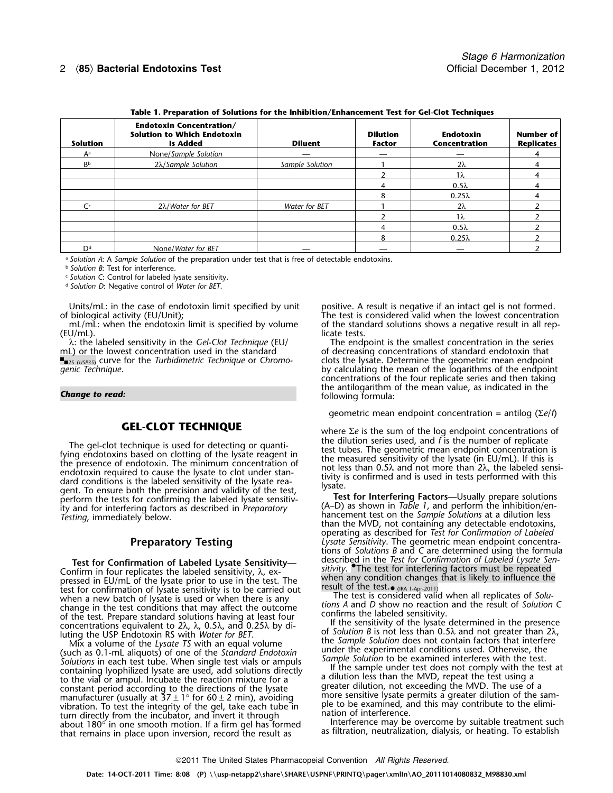# 2 〈**85**〉 **Bacterial Endotoxins Test** Official December 1, 2012

| Table T. Preparation of Solutions for the Inhibition/Ennancement Test for Gei-Clot Techniques |                                                                                          |                 |                                  |                                   |                                       |
|-----------------------------------------------------------------------------------------------|------------------------------------------------------------------------------------------|-----------------|----------------------------------|-----------------------------------|---------------------------------------|
| <b>Solution</b>                                                                               | <b>Endotoxin Concentration/</b><br><b>Solution to Which Endotoxin</b><br><b>Is Added</b> | <b>Diluent</b>  | <b>Dilution</b><br><b>Factor</b> | <b>Endotoxin</b><br>Concentration | <b>Number of</b><br><b>Replicates</b> |
| Aª                                                                                            | None/Sample Solution                                                                     |                 |                                  |                                   |                                       |
| BЬ                                                                                            | $2\lambda$ /Sample Solution                                                              | Sample Solution |                                  | 2λ                                |                                       |
|                                                                                               |                                                                                          |                 |                                  | $1\lambda$                        |                                       |
|                                                                                               |                                                                                          |                 |                                  | $0.5\lambda$                      |                                       |
|                                                                                               |                                                                                          |                 | 8                                | $0.25\lambda$                     |                                       |
| C <sup>c</sup>                                                                                | $2\lambda$ / <i>Water for BET</i>                                                        | Water for BET   |                                  | 2λ                                |                                       |
|                                                                                               |                                                                                          |                 |                                  | 1 $\lambda$                       |                                       |
|                                                                                               |                                                                                          |                 |                                  | $0.5\lambda$                      |                                       |
|                                                                                               |                                                                                          |                 | 8                                | $0.25\lambda$                     |                                       |
| D <sup>d</sup>                                                                                | None/Water for BET                                                                       |                 |                                  |                                   |                                       |

**Table 1. Preparation of Solutions for the Inhibition/Enhancement Test for Gel-Clot Techniques**

<sup>a</sup> *Solution A*: A *Sample Solution* of the preparation under test that is free of detectable endotoxins.

<sup>b</sup> *Solution B*: Test for interference.

<sup>c</sup> *Solution C*: Control for labeled lysate sensitivity.

<sup>d</sup> *Solution D*: Negative control of *Water for BET*.

Units/mL: in the case of endotoxin limit specified by unit positive. A result is negative if an intact gel is not formed.<br>The test is considered valid when the lowest concentration of biological activity (EU/Unit);

(EU/mL). licate tests.

The gel-clot technique is used for detecting or quanti-<br>fying endotoxins based on clotting of the lysate reagent in<br>the dilution series used, and *f* is the number of replicate<br>the presence of endotoxin. The minimum concen

Figure 1. The test of the lysate series of the test. The test of the test of the likely to influence the pressed in EU/mL of the lysate prior to use in the test. The test of the test. The test of the test of the test of th when a new batch of lysate is used or when there is any **The test is considered valid when all replicates of** *Solu-*<br>Change in the test conditions that may affect the outcome *tions A* and *D* show no reaction and the res

For a solutions in equal to the Space of the Standard Endarkonic under the experimental conditions used. Otherwise, the<br>Solutions in each test tube. When single test vials or ampuls<br>containing lyophilized lysate are used, constant period according to the directions of the lysate<br>manufacturer (usually at  $37 \pm 1^\circ$  for  $60 \pm 2$  min), avoiding<br>wibration. To test the integrity of the gel, take each tube in<br>turn directly from the incubator, an

biological activity (EU/Unit); Sological activity (EU/Unit); The test is considered valid when the lowest concentration<br>The test is considered valid when the lowest concentration mL/mL: when the endotoxin limit is specifie of the standard solutions shows a negative result in all rep-

λ: the labeled sensitivity in the *Gel-Clot Technique* (EU/ The endpoint is the smallest concentration in the series mL) or the lowest concentration used in the standard of decreasing concentrations of standard endotoxin of decreasing concentrations of standard endotoxin that ■■2s (*USP35*) curve for the *Turbidimetric Technique* or *Chromo-* clots the lysate. Determine the geometric mean endpoint *genic Technique*.<br>by calculating the mean of the logarithms of the endpoint by calculating the mean of the logarithms of the endpoint concentrations of the four replicate series and then taking **Change to read: Change to read: Change to read: following formula: Change to read: following formula: following formula: following formula: following formula: following formula: following formula: fo** 

geometric mean endpoint concentration = antilog (<sup>Σ</sup>*e*/*f*)

**GEL-CLOT TECHNIQUE**<br>to where Σ*e* is the sum of the log endpoint concentrations of<br>the dilution series used, and *f* is the number of replicate

than the MVD, not containing any detectable endotoxins, operating as described for *Test for Confirmation of Labeled* **Preparatory Testing** *Lysate Sensitivity*. The geometric mean endpoint concentrations of *Solutions B* and *C* are determined using the formula described in the *Test for Confirmation of Labeled Lysate Sen-* **Test for Confirmation of Labeled Lysate Sensitivity—**

The set of the test. Prepare standard solutions having at least four<br>concentrations equivalent to  $2\lambda$ ,  $\lambda$ ,  $0.5\lambda$ , and  $0.25\lambda$  by di-<br>luting the USP Endotoxin RS with *Water for BET*.<br>Mix a volume of the *Lysate TS*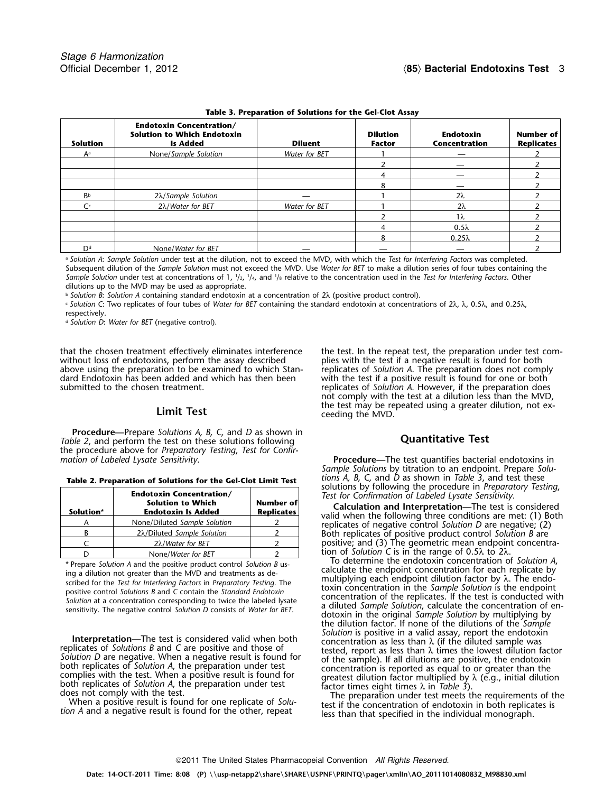| Table 5. I reparation or solutions for the Gercial Assay |                                                                                          |                |                                  |                                   |                                |
|----------------------------------------------------------|------------------------------------------------------------------------------------------|----------------|----------------------------------|-----------------------------------|--------------------------------|
| <b>Solution</b>                                          | <b>Endotoxin Concentration/</b><br><b>Solution to Which Endotoxin</b><br><b>Is Added</b> | <b>Diluent</b> | <b>Dilution</b><br><b>Factor</b> | <b>Endotoxin</b><br>Concentration | Number of<br><b>Replicates</b> |
| Aª                                                       | None/Sample Solution                                                                     | Water for BET  |                                  | __                                |                                |
|                                                          |                                                                                          |                |                                  |                                   |                                |
|                                                          |                                                                                          |                |                                  |                                   |                                |
|                                                          |                                                                                          |                | 8                                |                                   |                                |
| Bb                                                       | $2\lambda$ /Sample Solution                                                              |                |                                  | $2\lambda$                        |                                |
| C <sup>c</sup>                                           | 2λ/Water for BET                                                                         | Water for BET  |                                  | 2λ                                |                                |
|                                                          |                                                                                          |                |                                  | $1\lambda$                        |                                |
|                                                          |                                                                                          |                |                                  | $0.5\lambda$                      |                                |
|                                                          |                                                                                          |                | 8                                | $0.25\lambda$                     |                                |
| Dd                                                       | None/Water for BET                                                                       |                |                                  |                                   |                                |

**Table 3. Preparation of Solutions for the Gel-Clot Assay**

<sup>a</sup> *Solution A*: *Sample Solution* under test at the dilution, not to exceed the MVD, with which the *Test for Interfering Factors* was completed. Subsequent dilution of the *Sample Solution* must not exceed the MVD. Use *Water for BET* to make a dilution series of four tubes containing the *Sample Solution* under test at concentrations of 1, 1/2, 1/4, and 1/8 relative to the concentration used in the *Test for Interfering Factors*. Other dilutions up to the MVD may be used as appropriate.

<sup>b</sup> *Solution B*: *Solution A* containing standard endotoxin at a concentration of 2λ (positive product control).

<sup>c</sup> *Solution C*: Two replicates of four tubes of *Water for BET* containing the standard endotoxin at concentrations of 2λ, λ, 0.5λ, and 0.25λ,

respectively.

<sup>d</sup> *Solution D*: *Water for BET* (negative control).

without loss of endotoxins, perform the assay described plies with the test if a negative result is found for both<br>above using the preparation to be examined to which Stan-<br>replicates of Solution A. The preparation does no above using the preparation to be examined to which Stan- dard Endotoxin has been added and which has then been

**Procedure—**Prepare *Solutions A, B, C,* and *D* as shown in *The Columbus 1 The columns is the pollons is the grams of the solutions following* **Quantitative Test** the procedure above for *Preparatory Testing*, *Test for Confir-*

| Table 2. Preparation of Solutions for the Gel-Clot Limit Test |  |  |  |  |  |
|---------------------------------------------------------------|--|--|--|--|--|
|---------------------------------------------------------------|--|--|--|--|--|

| <b>Endotoxin Concentration/</b><br><b>Solution to Which</b><br><b>Endotoxin Is Added</b><br>Solution* |                                   | <b>Number of</b><br><b>Replicates</b> |  |
|-------------------------------------------------------------------------------------------------------|-----------------------------------|---------------------------------------|--|
|                                                                                                       | None/Diluted Sample Solution      |                                       |  |
|                                                                                                       | 2λ/Diluted Sample Solution        |                                       |  |
|                                                                                                       | $2\lambda$ / <i>Water for BET</i> |                                       |  |
|                                                                                                       | None/Water for BET                |                                       |  |

**Interpretation—The test is considered valid when both**<br>
replicates of *Solutions B* and C are positive and those of<br> *Solution is* positive in a valid assay, report the endotoxin<br> *Solution D* are negative. When a negati

that the chosen treatment effectively eliminates interference the test. In the repeat test, the preparation under test comwith the test if a positive result is found for one or both submitted to the chosen treatment. The result of *solution A.* However, if the preparation does not comply with the test at a dilution less than the MVD, the test may be repeated using a greater dilution, not ex- **Limit Test** ceeding the MVD.

**Procedure—**The test quantifies bacterial endotoxins in *Sample Solutions* by titration to an endpoint. Prepare *Solu-*

solutions by following the procedure in *Preparatory Testing,*<br>Test for Confirmation of Labeled Lysate Sensitivity.<br>**Calculation and Interpretation**—The test is considered<br>valid when the following three conditions are met: <sup>B</sup> <sup>2</sup>λ/Diluted *Sample Solution* <sup>2</sup> Both replicates of positive product control *Solution B* are <sup>C</sup> <sup>2</sup>λ/*Water for BET* <sup>2</sup> positive; and (3) The geometric mean endpoint concentration of *Solution C* is in the range of 0.5λ to 2λ.

To determine the endotoxin concentration of *Solution A*,<br>\* Prepare Solution A and the positive product control Solution B us-\* Prepare Solution A and the positive product control Solution B us-<br>ing a dilution not greater than the MVD and treatments as de-<br>scribed for the Test for Interfering Factors in Preparatory Testing. The<br>scribed for the T the dilution factor. If none of the dilutions of the *Sample*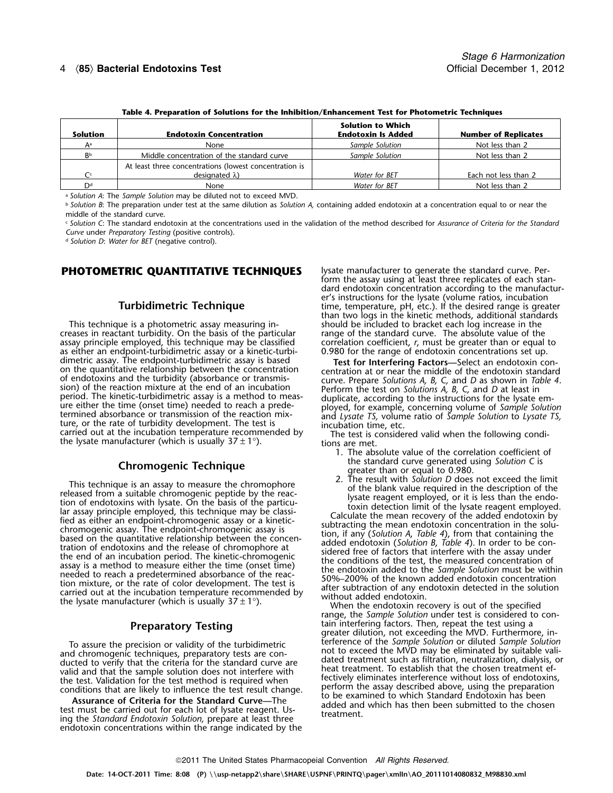# 4 〈**85**〉 **Bacterial Endotoxins Test** Official December 1, 2012

| Table 4. Preparation of Solutions for the Inhibition/Enhancement Test for Photometric Techniques |                                                                                  |                                                       |                             |  |
|--------------------------------------------------------------------------------------------------|----------------------------------------------------------------------------------|-------------------------------------------------------|-----------------------------|--|
| <b>Solution</b>                                                                                  | <b>Endotoxin Concentration</b>                                                   | <b>Solution to Which</b><br><b>Endotoxin Is Added</b> | <b>Number of Replicates</b> |  |
| Aa                                                                                               | None                                                                             | Sample Solution                                       | Not less than 2             |  |
| BЬ                                                                                               | Middle concentration of the standard curve                                       | Sample Solution                                       | Not less than 2             |  |
| $\mathsf{C}_{\mathsf{C}}$                                                                        | At least three concentrations (lowest concentration is<br>designated $\lambda$ ) | Water for BET                                         | Each not less than 2        |  |
| Dd                                                                                               | None                                                                             | Water for BET                                         | Not less than 2             |  |

**Table 4. Preparation of Solutions for the Inhibition/Enhancement Test for Photometric Techniques**

<sup>a</sup> *Solution A*: The *Sample Solution* may be diluted not to exceed MVD.

<sup>b</sup> *Solution B*: The preparation under test at the same dilution as *Solution A,* containing added endotoxin at a concentration equal to or near the

middle of the standard curve.

<sup>c</sup> *Solution C*: The standard endotoxin at the concentrations used in the validation of the method described for *Assurance of Criteria for the Standard Curve* under *Preparatory Testing* (positive controls).

<sup>d</sup> *Solution D*: *Water for BET* (negative control).

creases in reactant turbidity. On the basis of the particular assay principle employed, this technique may be classified correlation coefficient, *r*, must be greater than or equal to as either an endpoint-turbidimetric assay or a kinetic-turbi- 0.980 for the range of endotoxin conce dimetric assay. The endpoint-turbidimetric assay is based **Test for Interfering Factors—**Select an endotoxin conon the quantitative relationship between the concentration of endotoxins and the turbidity (absorbance or transmisof endotoxins and the turbidity (absorbance or transmis-<br>sion) of the reaction mixture at the end of an incubation<br>period. The kinetic-turbidimetric assay is a method to meas-<br>duplicate, according to the instructions for t period. The kinetic-turbidimetric assay is a method to meas-<br>ure either the time (onset time) needed to reach a prede-<br>termined absorbance or transmission of the reaction mix-<br>ture, or the rate of turbidity development. T

This technique is an assay to measure the chromophore<br>
released from a suitable chromogenic peptide by the reac-<br>
to the blank value required in the description of endotoxins with lystate. On the basis of the particular a

endotoxin concentrations within the range indicated by the

**PHOTOMETRIC QUANTITATIVE TECHNIQUES** Sysate manufacturer to generate the standard curve. Perform the assay using at least three replicates of each standard endotoxin concentration according to the manufacturer's instructions for the lysate (volume ratios, incubation **Turbidimetric Technique time, temperature, pH, etc.). If the desired range is greater** than two logs in the kinetic methods, additional standards This technique is a photometric assay measuring in-<br>eases in reactant turbidity. On the basis of the particular ange of the standard curve. The absolute value of the 0.980 for the range of endotoxin concentrations set up.

- 1. The absolute value of the correlation coefficient of **Chromogenic Technique** the standard curve generated using *Solution C* is<br>greater than or equal to 0.980.<br>2. The result with *Solution D* does not exceed the limit
	-

When the endotoxin recovery is out of the specified<br>range, the *Sample Solution* under test is considered to con-<br>tain interfering factors. Then, repeat the test using a **Preparatory Testing**<br>greater dilution, not exceeding the MVD. Furthermore, in-<br>terference of the Sample Solution or diluted Sample Solution To assure the precision or validity of the turbidimetric<br>and chromogenic techniques, preparatory tests are con-<br>ducted to verify that the criteria for the standard curve are<br>ducted to verify that the criteria for the stand